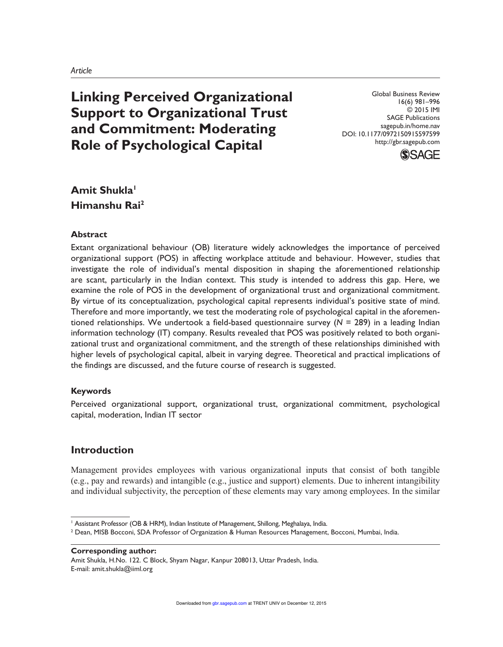# **Linking Perceived Organizational Support to Organizational Trust and Commitment: Moderating Role of Psychological Capital**

Global Business Review 16(6) 981–996 © 2015 IMI SAGE Publications sagepub.in/home.nav DOI: 10.1177/0972150915597599 http://gbr.sagepub.com



# **Amit Shukla<sup>1</sup> Himanshu Rai<sup>2</sup>**

# **Abstract**

Extant organizational behaviour (OB) literature widely acknowledges the importance of perceived organizational support (POS) in affecting workplace attitude and behaviour. However, studies that investigate the role of individual's mental disposition in shaping the aforementioned relationship are scant, particularly in the Indian context. This study is intended to address this gap. Here, we examine the role of POS in the development of organizational trust and organizational commitment. By virtue of its conceptualization, psychological capital represents individual's positive state of mind. Therefore and more importantly, we test the moderating role of psychological capital in the aforementioned relationships. We undertook a field-based questionnaire survey (*N* = 289) in a leading Indian information technology (IT) company. Results revealed that POS was positively related to both organizational trust and organizational commitment, and the strength of these relationships diminished with higher levels of psychological capital, albeit in varying degree. Theoretical and practical implications of the findings are discussed, and the future course of research is suggested.

# **Keywords**

Perceived organizational support, organizational trust, organizational commitment, psychological capital, moderation, Indian IT sector

# **Introduction**

Management provides employees with various organizational inputs that consist of both tangible (e.g., pay and rewards) and intangible (e.g., justice and support) elements. Due to inherent intangibility and individual subjectivity, the perception of these elements may vary among employees. In the similar

#### **Corresponding author:**

Amit Shukla, H.No. 122. C Block, Shyam Nagar, Kanpur 208013, Uttar Pradesh, India. E-mail: amit.shukla@iiml.org

<sup>1</sup> Assistant Professor (OB & HRM), Indian Institute of Management, Shillong, Meghalaya, India.

<sup>2</sup> Dean, MISB Bocconi, SDA Professor of Organization & Human Resources Management, Bocconi, Mumbai, India.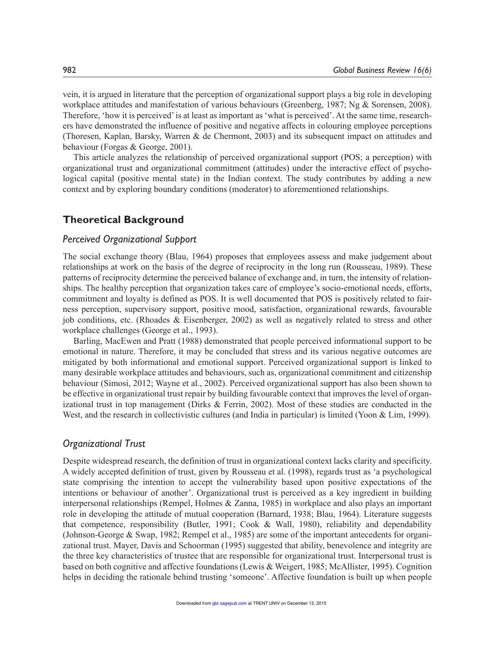vein, it is argued in literature that the perception of organizational support plays a big role in developing workplace attitudes and manifestation of various behaviours (Greenberg, 1987; Ng & Sorensen, 2008). Therefore, 'how it is perceived' is at least as important as 'what is perceived'. At the same time, researchers have demonstrated the influence of positive and negative affects in colouring employee perceptions (Thoresen, Kaplan, Barsky, Warren & de Chermont, 2003) and its subsequent impact on attitudes and behaviour (Forgas & George, 2001).

This article analyzes the relationship of perceived organizational support (POS; a perception) with organizational trust and organizational commitment (attitudes) under the interactive effect of psychological capital (positive mental state) in the Indian context. The study contributes by adding a new context and by exploring boundary conditions (moderator) to aforementioned relationships.

# **Theoretical Background**

# *Perceived Organizational Support*

The social exchange theory (Blau, 1964) proposes that employees assess and make judgement about relationships at work on the basis of the degree of reciprocity in the long run (Rousseau, 1989). These patterns of reciprocity determine the perceived balance of exchange and, in turn, the intensity of relationships. The healthy perception that organization takes care of employee's socio-emotional needs, efforts, commitment and loyalty is defined as POS. It is well documented that POS is positively related to fairness perception, supervisory support, positive mood, satisfaction, organizational rewards, favourable job conditions, etc. (Rhoades & Eisenberger, 2002) as well as negatively related to stress and other workplace challenges (George et al., 1993).

Barling, MacEwen and Pratt (1988) demonstrated that people perceived informational support to be emotional in nature. Therefore, it may be concluded that stress and its various negative outcomes are mitigated by both informational and emotional support. Perceived organizational support is linked to many desirable workplace attitudes and behaviours, such as, organizational commitment and citizenship behaviour (Simosi, 2012; Wayne et al., 2002). Perceived organizational support has also been shown to be effective in organizational trust repair by building favourable context that improves the level of organizational trust in top management (Dirks & Ferrin, 2002). Most of these studies are conducted in the West, and the research in collectivistic cultures (and India in particular) is limited (Yoon & Lim, 1999).

#### *Organizational Trust*

Despite widespread research, the definition of trust in organizational context lacks clarity and specificity. A widely accepted definition of trust, given by Rousseau et al. (1998), regards trust as 'a psychological state comprising the intention to accept the vulnerability based upon positive expectations of the intentions or behaviour of another'. Organizational trust is perceived as a key ingredient in building interpersonal relationships (Rempel, Holmes & Zanna, 1985) in workplace and also plays an important role in developing the attitude of mutual cooperation (Barnard, 1938; Blau, 1964). Literature suggests that competence, responsibility (Butler, 1991; Cook & Wall, 1980), reliability and dependability (Johnson-George & Swap, 1982; Rempel et al., 1985) are some of the important antecedents for organizational trust. Mayer, Davis and Schoorman (1995) suggested that ability, benevolence and integrity are the three key characteristics of trustee that are responsible for organizational trust. Interpersonal trust is based on both cognitive and affective foundations (Lewis & Weigert, 1985; McAllister, 1995). Cognition helps in deciding the rationale behind trusting 'someone'. Affective foundation is built up when people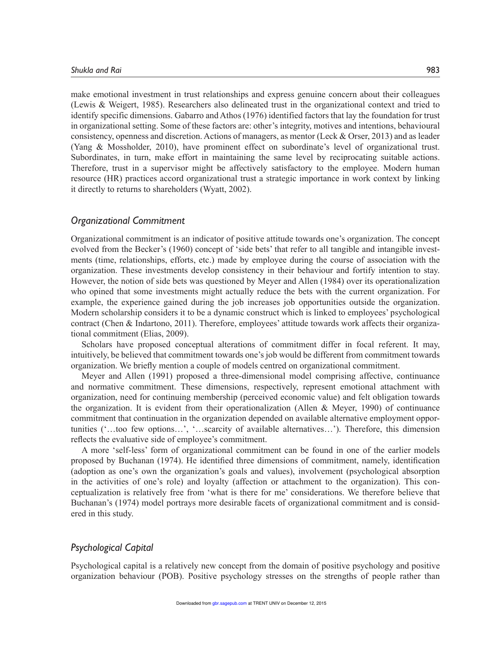make emotional investment in trust relationships and express genuine concern about their colleagues (Lewis & Weigert, 1985). Researchers also delineated trust in the organizational context and tried to identify specific dimensions. Gabarro and Athos (1976) identified factors that lay the foundation for trust in organizational setting. Some of these factors are: other's integrity, motives and intentions, behavioural consistency, openness and discretion. Actions of managers, as mentor (Leck & Orser, 2013) and as leader (Yang & Mossholder, 2010), have prominent effect on subordinate's level of organizational trust. Subordinates, in turn, make effort in maintaining the same level by reciprocating suitable actions. Therefore, trust in a supervisor might be affectively satisfactory to the employee. Modern human resource (HR) practices accord organizational trust a strategic importance in work context by linking it directly to returns to shareholders (Wyatt, 2002).

# *Organizational Commitment*

Organizational commitment is an indicator of positive attitude towards one's organization. The concept evolved from the Becker's (1960) concept of 'side bets' that refer to all tangible and intangible investments (time, relationships, efforts, etc.) made by employee during the course of association with the organization. These investments develop consistency in their behaviour and fortify intention to stay. However, the notion of side bets was questioned by Meyer and Allen (1984) over its operationalization who opined that some investments might actually reduce the bets with the current organization. For example, the experience gained during the job increases job opportunities outside the organization. Modern scholarship considers it to be a dynamic construct which is linked to employees' psychological contract (Chen & Indartono, 2011). Therefore, employees' attitude towards work affects their organizational commitment (Elias, 2009).

Scholars have proposed conceptual alterations of commitment differ in focal referent. It may, intuitively, be believed that commitment towards one's job would be different from commitment towards organization. We briefly mention a couple of models centred on organizational commitment.

Meyer and Allen (1991) proposed a three-dimensional model comprising affective, continuance and normative commitment. These dimensions, respectively, represent emotional attachment with organization, need for continuing membership (perceived economic value) and felt obligation towards the organization. It is evident from their operationalization (Allen  $\&$  Meyer, 1990) of continuance commitment that continuation in the organization depended on available alternative employment opportunities ('…too few options…', '…scarcity of available alternatives…'). Therefore, this dimension reflects the evaluative side of employee's commitment.

A more 'self-less' form of organizational commitment can be found in one of the earlier models proposed by Buchanan (1974). He identified three dimensions of commitment, namely, identification (adoption as one's own the organization's goals and values), involvement (psychological absorption in the activities of one's role) and loyalty (affection or attachment to the organization). This conceptualization is relatively free from 'what is there for me' considerations. We therefore believe that Buchanan's (1974) model portrays more desirable facets of organizational commitment and is considered in this study.

# *Psychological Capital*

Psychological capital is a relatively new concept from the domain of positive psychology and positive organization behaviour (POB). Positive psychology stresses on the strengths of people rather than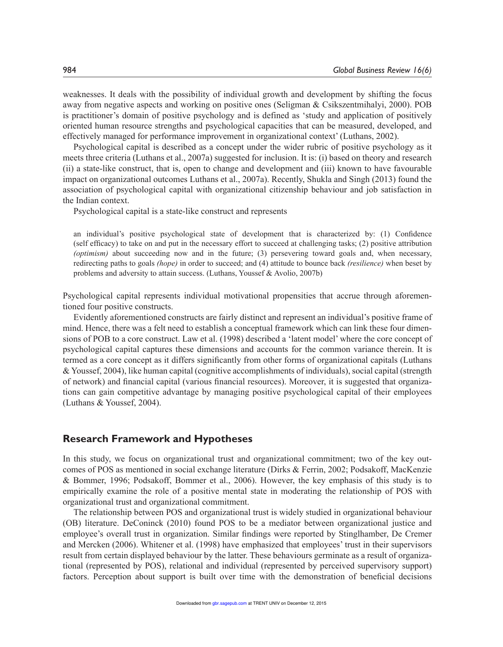weaknesses. It deals with the possibility of individual growth and development by shifting the focus away from negative aspects and working on positive ones (Seligman & Csikszentmihalyi, 2000). POB is practitioner's domain of positive psychology and is defined as 'study and application of positively oriented human resource strengths and psychological capacities that can be measured, developed, and effectively managed for performance improvement in organizational context' (Luthans, 2002).

Psychological capital is described as a concept under the wider rubric of positive psychology as it meets three criteria (Luthans et al., 2007a) suggested for inclusion. It is: (i) based on theory and research (ii) a state-like construct, that is, open to change and development and (iii) known to have favourable impact on organizational outcomes Luthans et al., 2007a). Recently, Shukla and Singh (2013) found the association of psychological capital with organizational citizenship behaviour and job satisfaction in the Indian context.

Psychological capital is a state-like construct and represents

an individual's positive psychological state of development that is characterized by: (1) Confidence (self efficacy) to take on and put in the necessary effort to succeed at challenging tasks; (2) positive attribution *(optimism)* about succeeding now and in the future; (3) persevering toward goals and, when necessary, redirecting paths to goals *(hope)* in order to succeed; and (4) attitude to bounce back *(resilience)* when beset by problems and adversity to attain success. (Luthans, Youssef & Avolio, 2007b)

Psychological capital represents individual motivational propensities that accrue through aforementioned four positive constructs.

Evidently aforementioned constructs are fairly distinct and represent an individual's positive frame of mind. Hence, there was a felt need to establish a conceptual framework which can link these four dimensions of POB to a core construct. Law et al. (1998) described a 'latent model' where the core concept of psychological capital captures these dimensions and accounts for the common variance therein. It is termed as a core concept as it differs significantly from other forms of organizational capitals (Luthans & Youssef, 2004), like human capital (cognitive accomplishments of individuals), social capital (strength of network) and financial capital (various financial resources). Moreover, it is suggested that organizations can gain competitive advantage by managing positive psychological capital of their employees (Luthans & Youssef, 2004).

# **Research Framework and Hypotheses**

In this study, we focus on organizational trust and organizational commitment; two of the key outcomes of POS as mentioned in social exchange literature (Dirks & Ferrin, 2002; Podsakoff, MacKenzie & Bommer, 1996; Podsakoff, Bommer et al., 2006). However, the key emphasis of this study is to empirically examine the role of a positive mental state in moderating the relationship of POS with organizational trust and organizational commitment.

The relationship between POS and organizational trust is widely studied in organizational behaviour (OB) literature. DeConinck (2010) found POS to be a mediator between organizational justice and employee's overall trust in organization. Similar findings were reported by Stinglhamber, De Cremer and Mercken (2006). Whitener et al. (1998) have emphasized that employees' trust in their supervisors result from certain displayed behaviour by the latter. These behaviours germinate as a result of organizational (represented by POS), relational and individual (represented by perceived supervisory support) factors. Perception about support is built over time with the demonstration of beneficial decisions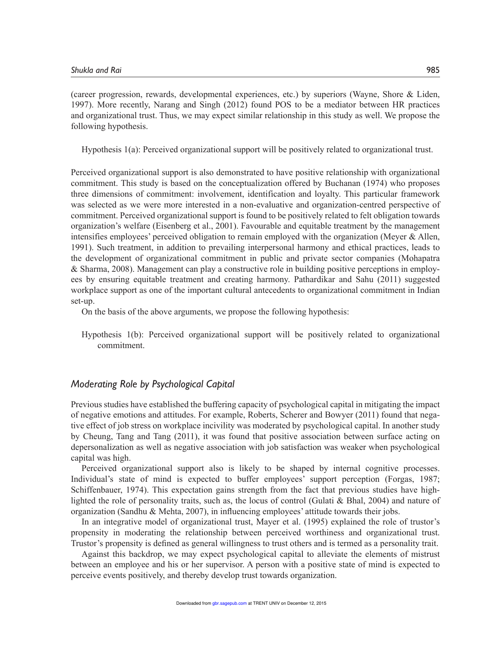(career progression, rewards, developmental experiences, etc.) by superiors (Wayne, Shore & Liden, 1997). More recently, Narang and Singh (2012) found POS to be a mediator between HR practices and organizational trust. Thus, we may expect similar relationship in this study as well. We propose the following hypothesis.

Hypothesis 1(a): Perceived organizational support will be positively related to organizational trust.

Perceived organizational support is also demonstrated to have positive relationship with organizational commitment. This study is based on the conceptualization offered by Buchanan (1974) who proposes three dimensions of commitment: involvement, identification and loyalty. This particular framework was selected as we were more interested in a non-evaluative and organization-centred perspective of commitment. Perceived organizational support is found to be positively related to felt obligation towards organization's welfare (Eisenberg et al., 2001). Favourable and equitable treatment by the management intensifies employees' perceived obligation to remain employed with the organization (Meyer & Allen, 1991). Such treatment, in addition to prevailing interpersonal harmony and ethical practices, leads to the development of organizational commitment in public and private sector companies (Mohapatra & Sharma, 2008). Management can play a constructive role in building positive perceptions in employees by ensuring equitable treatment and creating harmony. Pathardikar and Sahu (2011) suggested workplace support as one of the important cultural antecedents to organizational commitment in Indian set-up.

On the basis of the above arguments, we propose the following hypothesis:

Hypothesis 1(b): Perceived organizational support will be positively related to organizational commitment.

# *Moderating Role by Psychological Capital*

Previous studies have established the buffering capacity of psychological capital in mitigating the impact of negative emotions and attitudes. For example, Roberts, Scherer and Bowyer (2011) found that negative effect of job stress on workplace incivility was moderated by psychological capital. In another study by Cheung, Tang and Tang (2011), it was found that positive association between surface acting on depersonalization as well as negative association with job satisfaction was weaker when psychological capital was high.

Perceived organizational support also is likely to be shaped by internal cognitive processes. Individual's state of mind is expected to buffer employees' support perception (Forgas, 1987; Schiffenbauer, 1974). This expectation gains strength from the fact that previous studies have highlighted the role of personality traits, such as, the locus of control (Gulati & Bhal, 2004) and nature of organization (Sandhu & Mehta, 2007), in influencing employees' attitude towards their jobs.

In an integrative model of organizational trust, Mayer et al. (1995) explained the role of trustor's propensity in moderating the relationship between perceived worthiness and organizational trust. Trustor's propensity is defined as general willingness to trust others and is termed as a personality trait.

Against this backdrop, we may expect psychological capital to alleviate the elements of mistrust between an employee and his or her supervisor. A person with a positive state of mind is expected to perceive events positively, and thereby develop trust towards organization.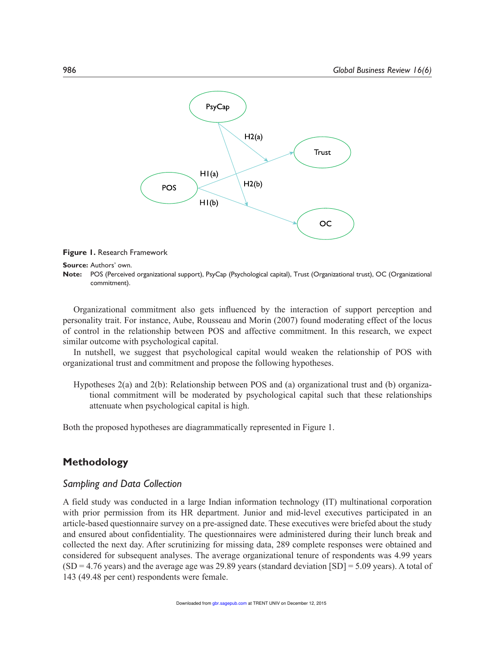



Organizational commitment also gets influenced by the interaction of support perception and personality trait. For instance, Aube, Rousseau and Morin (2007) found moderating effect of the locus of control in the relationship between POS and affective commitment. In this research, we expect similar outcome with psychological capital.

In nutshell, we suggest that psychological capital would weaken the relationship of POS with organizational trust and commitment and propose the following hypotheses.

Hypotheses 2(a) and 2(b): Relationship between POS and (a) organizational trust and (b) organizational commitment will be moderated by psychological capital such that these relationships attenuate when psychological capital is high.

Both the proposed hypotheses are diagrammatically represented in Figure 1.

# **Methodology**

## *Sampling and Data Collection*

A field study was conducted in a large Indian information technology (IT) multinational corporation with prior permission from its HR department. Junior and mid-level executives participated in an article-based questionnaire survey on a pre-assigned date. These executives were briefed about the study and ensured about confidentiality. The questionnaires were administered during their lunch break and collected the next day. After scrutinizing for missing data, 289 complete responses were obtained and considered for subsequent analyses. The average organizational tenure of respondents was 4.99 years  $(SD = 4.76$  years) and the average age was 29.89 years (standard deviation  $[SD] = 5.09$  years). A total of 143 (49.48 per cent) respondents were female.

**Note:** POS (Perceived organizational support), PsyCap (Psychological capital), Trust (Organizational trust), OC (Organizational commitment).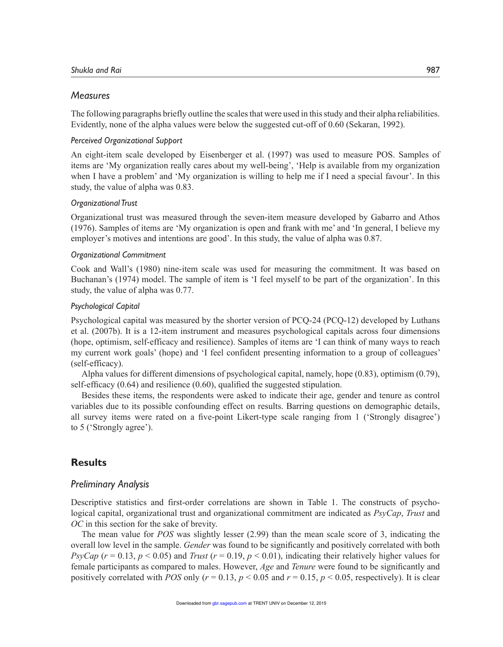#### *Measures*

The following paragraphs briefly outline the scales that were used in this study and their alpha reliabilities. Evidently, none of the alpha values were below the suggested cut-off of 0.60 (Sekaran, 1992).

#### *Perceived Organizational Support*

An eight-item scale developed by Eisenberger et al. (1997) was used to measure POS. Samples of items are 'My organization really cares about my well-being', 'Help is available from my organization when I have a problem' and 'My organization is willing to help me if I need a special favour'. In this study, the value of alpha was 0.83.

#### *Organizational Trust*

Organizational trust was measured through the seven-item measure developed by Gabarro and Athos (1976). Samples of items are 'My organization is open and frank with me' and 'In general, I believe my employer's motives and intentions are good'. In this study, the value of alpha was 0.87.

#### *Organizational Commitment*

Cook and Wall's (1980) nine-item scale was used for measuring the commitment. It was based on Buchanan's (1974) model. The sample of item is 'I feel myself to be part of the organization'. In this study, the value of alpha was 0.77.

#### *Psychological Capital*

Psychological capital was measured by the shorter version of PCQ-24 (PCQ-12) developed by Luthans et al. (2007b). It is a 12-item instrument and measures psychological capitals across four dimensions (hope, optimism, self-efficacy and resilience). Samples of items are 'I can think of many ways to reach my current work goals' (hope) and 'I feel confident presenting information to a group of colleagues' (self-efficacy).

Alpha values for different dimensions of psychological capital, namely, hope (0.83), optimism (0.79), self-efficacy (0.64) and resilience (0.60), qualified the suggested stipulation.

Besides these items, the respondents were asked to indicate their age, gender and tenure as control variables due to its possible confounding effect on results. Barring questions on demographic details, all survey items were rated on a five-point Likert-type scale ranging from 1 ('Strongly disagree') to 5 ('Strongly agree').

# **Results**

### *Preliminary Analysis*

Descriptive statistics and first-order correlations are shown in Table 1. The constructs of psychological capital, organizational trust and organizational commitment are indicated as *PsyCap*, *Trust* and *OC* in this section for the sake of brevity.

The mean value for *POS* was slightly lesser (2.99) than the mean scale score of 3, indicating the overall low level in the sample. *Gender* was found to be significantly and positively correlated with both *PsyCap* ( $r = 0.13$ ,  $p < 0.05$ ) and *Trust* ( $r = 0.19$ ,  $p < 0.01$ ), indicating their relatively higher values for female participants as compared to males. However, *Age* and *Tenure* were found to be significantly and positively correlated with *POS* only  $(r = 0.13, p < 0.05$  and  $r = 0.15, p < 0.05$ , respectively). It is clear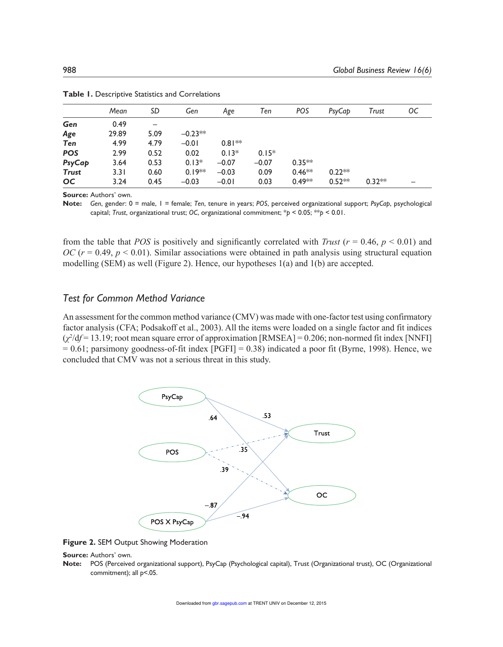|            | Mean  | SD   | Gen       | Age      | Ten     | POS      | PsyCap   | Trust    | ОC |
|------------|-------|------|-----------|----------|---------|----------|----------|----------|----|
| Gen        | 0.49  | -    |           |          |         |          |          |          |    |
| Age        | 29.89 | 5.09 | $-0.23**$ |          |         |          |          |          |    |
| Ten        | 4.99  | 4.79 | $-0.01$   | $0.81**$ |         |          |          |          |    |
| <b>POS</b> | 2.99  | 0.52 | 0.02      | $0.13*$  | $0.15*$ |          |          |          |    |
| PsyCap     | 3.64  | 0.53 | $0.13*$   | $-0.07$  | $-0.07$ | $0.35**$ |          |          |    |
| Trust      | 3.31  | 0.60 | $0.19***$ | $-0.03$  | 0.09    | $0.46**$ | $0.22**$ |          |    |
| OC         | 3.24  | 0.45 | $-0.03$   | $-0.01$  | 0.03    | $0.49**$ | $0.52**$ | $0.32**$ |    |

**Table 1.** Descriptive Statistics and Correlations

**Note:** *Gen*, gender: 0 = male, 1 = female; *Ten*, tenure in years; *POS*, perceived organizational support; *PsyCap*, psychological capital; *Trust*, organizational trust; *OC*, organizational commitment; \**p* < 0.05; \*\**p* < 0.01.

from the table that *POS* is positively and significantly correlated with *Trust* (*r* = 0.46, *p* < 0.01) and  $OC$  ( $r = 0.49$ ,  $p < 0.01$ ). Similar associations were obtained in path analysis using structural equation modelling (SEM) as well (Figure 2). Hence, our hypotheses 1(a) and 1(b) are accepted.

# *Test for Common Method Variance*

An assessment for the common method variance (CMV) was made with one-factor test using confirmatory factor analysis (CFA; Podsakoff et al., 2003). All the items were loaded on a single factor and fit indices  $(\chi^2/df = 13.19)$ ; root mean square error of approximation [RMSEA] = 0.206; non-normed fit index [NNFI]  $= 0.61$ ; parsimony goodness-of-fit index  $[PGFI] = 0.38$ ) indicated a poor fit (Byrne, 1998). Hence, we concluded that CMV was not a serious threat in this study.



**Figure 2.** SEM Output Showing Moderation

#### **Source:** Authors' own.

**Note:** POS (Perceived organizational support), PsyCap (Psychological capital), Trust (Organizational trust), OC (Organizational commitment); all p<.05.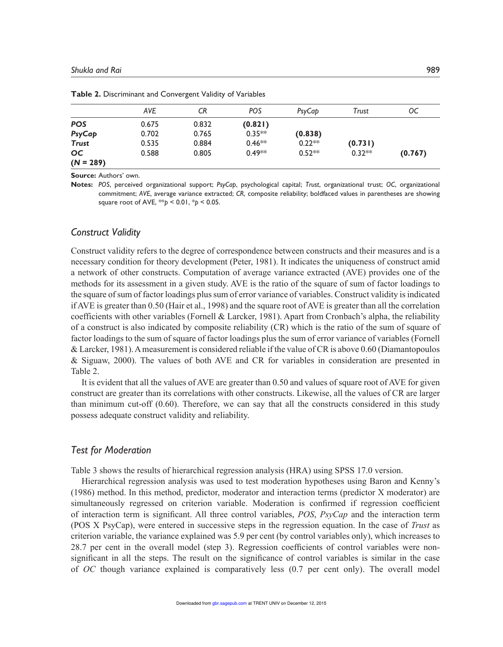|              | <b>AVE</b> | CR    | POS      | PsyCap   | Trust    | ос      |
|--------------|------------|-------|----------|----------|----------|---------|
| <b>POS</b>   | 0.675      | 0.832 | (0.821)  |          |          |         |
| PsyCap       | 0.702      | 0.765 | $0.35**$ | (0.838)  |          |         |
| <b>Trust</b> | 0.535      | 0.884 | $0.46**$ | $0.22**$ | (0.731)  |         |
| OC.          | 0.588      | 0.805 | $0.49**$ | $0.52**$ | $0.32**$ | (0.767) |
| $(N = 289)$  |            |       |          |          |          |         |

**Table 2.** Discriminant and Convergent Validity of Variables

**Notes:** *POS*, perceived organizational support; *PsyCap*, psychological capital; *Trust*, organizational trust; *OC*, organizational commitment; *AVE*, average variance extracted; *CR*, composite reliability; boldfaced values in parentheses are showing square root of AVE, \*\**p* < 0.01, \**p* < 0.05.

# *Construct Validity*

Construct validity refers to the degree of correspondence between constructs and their measures and is a necessary condition for theory development (Peter, 1981). It indicates the uniqueness of construct amid a network of other constructs. Computation of average variance extracted (AVE) provides one of the methods for its assessment in a given study. AVE is the ratio of the square of sum of factor loadings to the square of sum of factor loadings plus sum of error variance of variables. Construct validity is indicated if AVE is greater than 0.50 (Hair et al., 1998) and the square root of AVE is greater than all the correlation coefficients with other variables (Fornell & Larcker, 1981). Apart from Cronbach's alpha, the reliability of a construct is also indicated by composite reliability (CR) which is the ratio of the sum of square of factor loadings to the sum of square of factor loadings plus the sum of error variance of variables (Fornell & Larcker, 1981). A measurement is considered reliable if the value of CR is above 0.60 (Diamantopoulos & Siguaw, 2000). The values of both AVE and CR for variables in consideration are presented in Table 2.

It is evident that all the values of AVE are greater than 0.50 and values of square root of AVE for given construct are greater than its correlations with other constructs. Likewise, all the values of CR are larger than minimum cut-off (0.60). Therefore, we can say that all the constructs considered in this study possess adequate construct validity and reliability.

### *Test for Moderation*

Table 3 shows the results of hierarchical regression analysis (HRA) using SPSS 17.0 version.

Hierarchical regression analysis was used to test moderation hypotheses using Baron and Kenny's (1986) method. In this method, predictor, moderator and interaction terms (predictor X moderator) are simultaneously regressed on criterion variable. Moderation is confirmed if regression coefficient of interaction term is significant. All three control variables, *POS*, *PsyCap* and the interaction term (POS X PsyCap), were entered in successive steps in the regression equation. In the case of *Trust* as criterion variable, the variance explained was 5.9 per cent (by control variables only), which increases to 28.7 per cent in the overall model (step 3). Regression coefficients of control variables were nonsignificant in all the steps. The result on the significance of control variables is similar in the case of *OC* though variance explained is comparatively less (0.7 per cent only). The overall model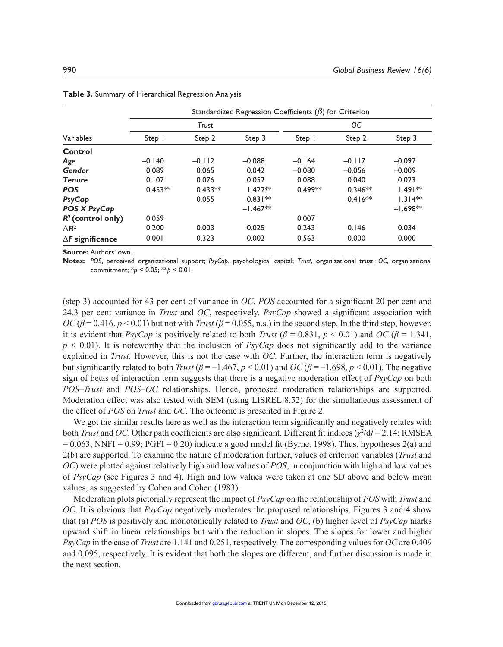|                           | Standardized Regression Coefficients ( $\beta$ ) for Criterion |              |            |           |           |            |  |  |
|---------------------------|----------------------------------------------------------------|--------------|------------|-----------|-----------|------------|--|--|
|                           |                                                                | <b>Trust</b> |            | ОC        |           |            |  |  |
| Variables                 | Step 1                                                         | Step 2       | Step 3     | Step 1    | Step 2    | Step 3     |  |  |
| Control                   |                                                                |              |            |           |           |            |  |  |
| Age                       | $-0.140$                                                       | $-0.112$     | $-0.088$   | $-0.164$  | $-0.117$  | $-0.097$   |  |  |
| Gender                    | 0.089                                                          | 0.065        | 0.042      | $-0.080$  | $-0.056$  | $-0.009$   |  |  |
| <b>Tenure</b>             | 0.107                                                          | 0.076        | 0.052      | 0.088     | 0.040     | 0.023      |  |  |
| <b>POS</b>                | $0.453**$                                                      | $0.433**$    | $1.422**$  | $0.499**$ | $0.346**$ | $1.491**$  |  |  |
| PsyCap                    |                                                                | 0.055        | $0.831**$  |           | $0.416**$ | $1.314**$  |  |  |
| <b>POS X PsyCap</b>       |                                                                |              | $-1.467**$ |           |           | $-1.698**$ |  |  |
| $R^2$ (control only)      | 0.059                                                          |              |            | 0.007     |           |            |  |  |
| $\triangle$ <sup>R2</sup> | 0.200                                                          | 0.003        | 0.025      | 0.243     | 0.146     | 0.034      |  |  |
| $\Delta F$ significance   | 0.001                                                          | 0.323        | 0.002      | 0.563     | 0.000     | 0.000      |  |  |

**Table 3.** Summary of Hierarchical Regression Analysis

**Notes:** *POS*, perceived organizational support; *PsyCap*, psychological capital; *Trust*, organizational trust; *OC*, organizational commitment; \**p* < 0.05; \*\**p* < 0.01.

(step 3) accounted for 43 per cent of variance in *OC*. *POS* accounted for a significant 20 per cent and 24.3 per cent variance in *Trust* and *OC*, respectively. *PsyCap* showed a significant association with  $OC(B=0.416, p<0.01)$  but not with *Trust*  $(B=0.055, n.s.)$  in the second step. In the third step, however, it is evident that  $PsyCap$  is positively related to both *Trust* ( $\beta = 0.831$ ,  $p < 0.01$ ) and *OC* ( $\beta = 1.341$ ,  $p \leq 0.01$ ). It is noteworthy that the inclusion of *PsyCap* does not significantly add to the variance explained in *Trust*. However, this is not the case with *OC*. Further, the interaction term is negatively but significantly related to both *Trust* ( $\beta = -1.467$ ,  $p < 0.01$ ) and *OC* ( $\beta = -1.698$ ,  $p < 0.01$ ). The negative sign of betas of interaction term suggests that there is a negative moderation effect of *PsyCap* on both *POS*–*Trust* and *POS*–*OC* relationships. Hence, proposed moderation relationships are supported. Moderation effect was also tested with SEM (using LISREL 8.52) for the simultaneous assessment of the effect of *POS* on *Trust* and *OC*. The outcome is presented in Figure 2.

We got the similar results here as well as the interaction term significantly and negatively relates with both *Trust* and *OC*. Other path coefficients are also significant. Different fit indices  $(\chi^2/df = 2.14; RMSEA)$  $= 0.063$ ; NNFI = 0.99; PGFI = 0.20) indicate a good model fit (Byrne, 1998). Thus, hypotheses 2(a) and 2(b) are supported. To examine the nature of moderation further, values of criterion variables (*Trust* and *OC*) were plotted against relatively high and low values of *POS*, in conjunction with high and low values of *PsyCap* (see Figures 3 and 4). High and low values were taken at one SD above and below mean values, as suggested by Cohen and Cohen (1983).

Moderation plots pictorially represent the impact of *PsyCap* on the relationship of *POS* with *Trust* and *OC*. It is obvious that *PsyCap* negatively moderates the proposed relationships. Figures 3 and 4 show that (a) *POS* is positively and monotonically related to *Trust* and *OC*, (b) higher level of *PsyCap* marks upward shift in linear relationships but with the reduction in slopes. The slopes for lower and higher *PsyCap* in the case of *Trust* are 1.141 and 0.251, respectively. The corresponding values for *OC* are 0.409 and 0.095, respectively. It is evident that both the slopes are different, and further discussion is made in the next section.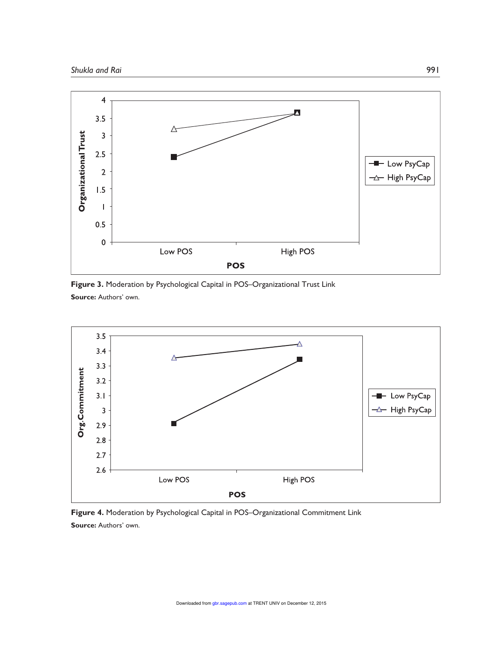

**Figure 3.** Moderation by Psychological Capital in POS–Organizational Trust Link **Source:** Authors' own.



**Figure 4.** Moderation by Psychological Capital in POS–Organizational Commitment Link **Source:** Authors' own.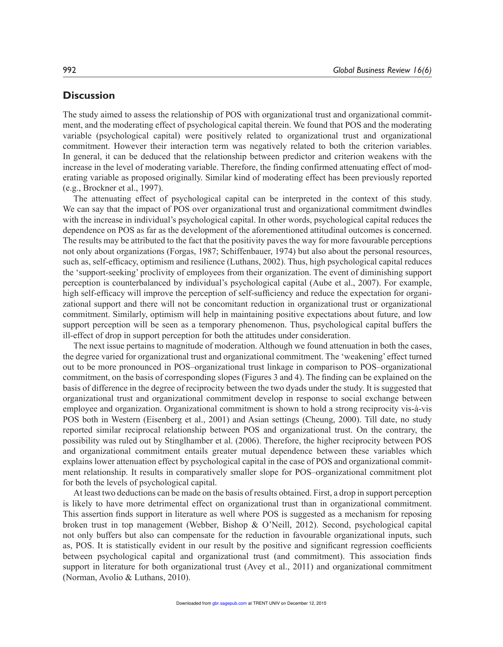# **Discussion**

The study aimed to assess the relationship of POS with organizational trust and organizational commitment, and the moderating effect of psychological capital therein. We found that POS and the moderating variable (psychological capital) were positively related to organizational trust and organizational commitment. However their interaction term was negatively related to both the criterion variables. In general, it can be deduced that the relationship between predictor and criterion weakens with the increase in the level of moderating variable. Therefore, the finding confirmed attenuating effect of moderating variable as proposed originally. Similar kind of moderating effect has been previously reported (e.g., Brockner et al., 1997).

The attenuating effect of psychological capital can be interpreted in the context of this study. We can say that the impact of POS over organizational trust and organizational commitment dwindles with the increase in individual's psychological capital. In other words, psychological capital reduces the dependence on POS as far as the development of the aforementioned attitudinal outcomes is concerned. The results may be attributed to the fact that the positivity paves the way for more favourable perceptions not only about organizations (Forgas, 1987; Schiffenbauer, 1974) but also about the personal resources, such as, self-efficacy, optimism and resilience (Luthans, 2002). Thus, high psychological capital reduces the 'support-seeking' proclivity of employees from their organization. The event of diminishing support perception is counterbalanced by individual's psychological capital (Aube et al., 2007). For example, high self-efficacy will improve the perception of self-sufficiency and reduce the expectation for organizational support and there will not be concomitant reduction in organizational trust or organizational commitment. Similarly, optimism will help in maintaining positive expectations about future, and low support perception will be seen as a temporary phenomenon. Thus, psychological capital buffers the ill-effect of drop in support perception for both the attitudes under consideration.

The next issue pertains to magnitude of moderation. Although we found attenuation in both the cases, the degree varied for organizational trust and organizational commitment. The 'weakening' effect turned out to be more pronounced in POS–organizational trust linkage in comparison to POS–organizational commitment, on the basis of corresponding slopes (Figures 3 and 4). The finding can be explained on the basis of difference in the degree of reciprocity between the two dyads under the study. It is suggested that organizational trust and organizational commitment develop in response to social exchange between employee and organization. Organizational commitment is shown to hold a strong reciprocity vis-à-vis POS both in Western (Eisenberg et al., 2001) and Asian settings (Cheung, 2000). Till date, no study reported similar reciprocal relationship between POS and organizational trust. On the contrary, the possibility was ruled out by Stinglhamber et al. (2006). Therefore, the higher reciprocity between POS and organizational commitment entails greater mutual dependence between these variables which explains lower attenuation effect by psychological capital in the case of POS and organizational commitment relationship. It results in comparatively smaller slope for POS–organizational commitment plot for both the levels of psychological capital.

At least two deductions can be made on the basis of results obtained. First, a drop in support perception is likely to have more detrimental effect on organizational trust than in organizational commitment. This assertion finds support in literature as well where POS is suggested as a mechanism for reposing broken trust in top management (Webber, Bishop & O'Neill, 2012). Second, psychological capital not only buffers but also can compensate for the reduction in favourable organizational inputs, such as, POS. It is statistically evident in our result by the positive and significant regression coefficients between psychological capital and organizational trust (and commitment). This association finds support in literature for both organizational trust (Avey et al., 2011) and organizational commitment (Norman, Avolio & Luthans, 2010).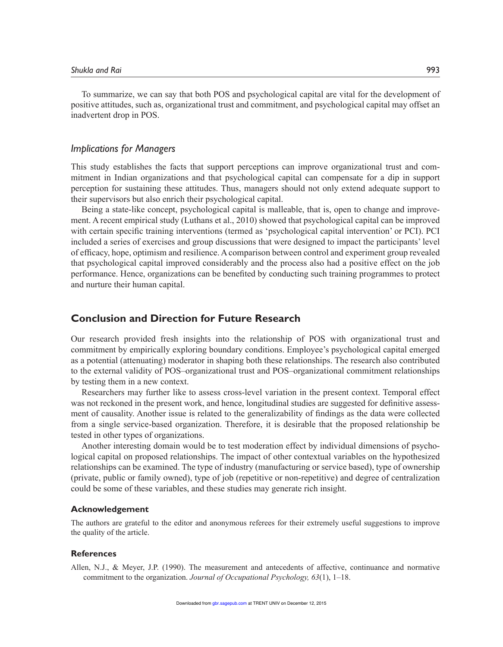To summarize, we can say that both POS and psychological capital are vital for the development of positive attitudes, such as, organizational trust and commitment, and psychological capital may offset an inadvertent drop in POS.

# *Implications for Managers*

This study establishes the facts that support perceptions can improve organizational trust and commitment in Indian organizations and that psychological capital can compensate for a dip in support perception for sustaining these attitudes. Thus, managers should not only extend adequate support to their supervisors but also enrich their psychological capital.

Being a state-like concept, psychological capital is malleable, that is, open to change and improvement. A recent empirical study (Luthans et al., 2010) showed that psychological capital can be improved with certain specific training interventions (termed as 'psychological capital intervention' or PCI). PCI included a series of exercises and group discussions that were designed to impact the participants' level of efficacy, hope, optimism and resilience. A comparison between control and experiment group revealed that psychological capital improved considerably and the process also had a positive effect on the job performance. Hence, organizations can be benefited by conducting such training programmes to protect and nurture their human capital.

# **Conclusion and Direction for Future Research**

Our research provided fresh insights into the relationship of POS with organizational trust and commitment by empirically exploring boundary conditions. Employee's psychological capital emerged as a potential (attenuating) moderator in shaping both these relationships. The research also contributed to the external validity of POS–organizational trust and POS–organizational commitment relationships by testing them in a new context.

Researchers may further like to assess cross-level variation in the present context. Temporal effect was not reckoned in the present work, and hence, longitudinal studies are suggested for definitive assessment of causality. Another issue is related to the generalizability of findings as the data were collected from a single service-based organization. Therefore, it is desirable that the proposed relationship be tested in other types of organizations.

Another interesting domain would be to test moderation effect by individual dimensions of psychological capital on proposed relationships. The impact of other contextual variables on the hypothesized relationships can be examined. The type of industry (manufacturing or service based), type of ownership (private, public or family owned), type of job (repetitive or non-repetitive) and degree of centralization could be some of these variables, and these studies may generate rich insight.

#### **Acknowledgement**

The authors are grateful to the editor and anonymous referees for their extremely useful suggestions to improve the quality of the article.

#### **References**

Allen, N.J., & Meyer, J.P. (1990). The measurement and antecedents of affective, continuance and normative commitment to the organization. *Journal of Occupational Psychology, 63*(1), 1–18.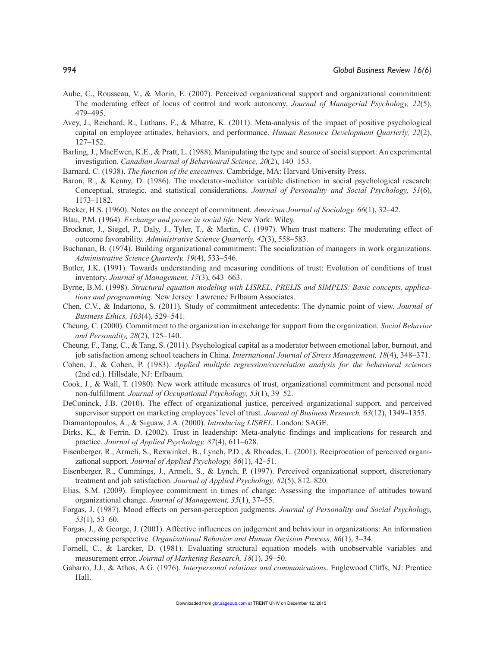- Aube, C., Rousseau, V., & Morin, E. (2007). Perceived organizational support and organizational commitment: The moderating effect of locus of control and work autonomy. *Journal of Managerial Psychology, 22*(5), 479–495.
- Avey, J., Reichard, R., Luthans, F., & Mhatre, K. (2011). Meta-analysis of the impact of positive psychological capital on employee attitudes, behaviors, and performance. *Human Resource Development Quarterly, 22*(2), 127–152.
- Barling, J., MacEwen, K.E., & Pratt, L. (1988). Manipulating the type and source of social support: An experimental investigation. *Canadian Journal of Behavioural Science, 20*(2), 140–153.
- Barnard, C. (1938). *The function of the executives.* Cambridge, MA: Harvard University Press.
- Baron, R., & Kenny, D. (1986). The moderator-mediator variable distinction in social psychological research: Conceptual, strategic, and statistical considerations. *Journal of Personality and Social Psychology, 51*(6), 1173–1182.
- Becker, H.S. (1960). Notes on the concept of commitment. *American Journal of Sociology, 66*(1), 32–42.
- Blau, P.M. (1964). *Exchange and power in social life.* New York: Wiley.
- Brockner, J., Siegel, P., Daly, J., Tyler, T., & Martin, C. (1997). When trust matters: The moderating effect of outcome favorability. *Administrative Science Quarterly, 42*(3), 558–583.
- Buchanan, B. (1974). Building organizational commitment: The socialization of managers in work organizations. *Administrative Science Quarterly, 19*(4), 533–546.
- Butler, J.K. (1991). Towards understanding and measuring conditions of trust: Evolution of conditions of trust inventory. *Journal of Management, 17*(3), 643–663.
- Byrne, B.M. (1998). *Structural equation modeling with LISREL, PRELIS and SIMPLIS: Basic concepts, applications and programming*. New Jersey: Lawrence Erlbaum Associates.
- Chen, C.V., & Indartono, S. (2011). Study of commitment antecedents: The dynamic point of view. *Journal of Business Ethics, 103*(4), 529–541.
- Cheung, C. (2000). Commitment to the organization in exchange for support from the organization. *Social Behavior and Personality, 28*(2), 125–140.
- Cheung, F., Tang, C., & Tang, S. (2011). Psychological capital as a moderator between emotional labor, burnout, and job satisfaction among school teachers in China. *International Journal of Stress Management, 18*(4), 348–371.
- Cohen, J., & Cohen, P. (1983). *Applied multiple regression/correlation analysis for the behavioral sciences* (2nd ed.). Hillsdale, NJ: Erlbaum.
- Cook, J., & Wall, T. (1980). New work attitude measures of trust, organizational commitment and personal need non-fulfillment*. Journal of Occupational Psychology, 53*(1), 39–52.
- DeConinck, J.B. (2010). The effect of organizational justice, perceived organizational support, and perceived supervisor support on marketing employees' level of trust. *Journal of Business Research, 63*(12), 1349–1355.

Diamantopoulos, A., & Siguaw, J.A. (2000). *Introducing LISREL*. London: SAGE.

- Dirks, K., & Ferrin, D. (2002). Trust in leadership: Meta-analytic findings and implications for research and practice. *Journal of Applied Psychology, 87*(4), 611–628.
- Eisenberger, R., Armeli, S., Rexwinkel, B., Lynch, P.D., & Rhoades, L. (2001). Reciprocation of perceived organizational support. *Journal of Applied Psychology, 86*(1), 42–51.
- Eisenberger, R., Cummings, J., Armeli, S., & Lynch, P. (1997). Perceived organizational support, discretionary treatment and job satisfaction. *Journal of Applied Psychology, 82*(5), 812–820.
- Elias, S.M. (2009). Employee commitment in times of change: Assessing the importance of attitudes toward organizational change. *Journal of Management, 35*(1), 37–55.
- Forgas, J. (1987). Mood effects on person-perception judgments. *Journal of Personality and Social Psychology, 53*(1), 53–60.
- Forgas, J., & George, J. (2001). Affective influences on judgement and behaviour in organizations: An information processing perspective. *Organizational Behavior and Human Decision Process, 86*(1), 3–34.
- Fornell, C., & Larcker, D. (1981). Evaluating structural equation models with unobservable variables and measurement error. *Journal of Marketing Research, 18*(1), 39–50.
- Gabarro, J.J., & Athos, A.G. (1976). *Interpersonal relations and communications*. Englewood Cliffs, NJ: Prentice Hall.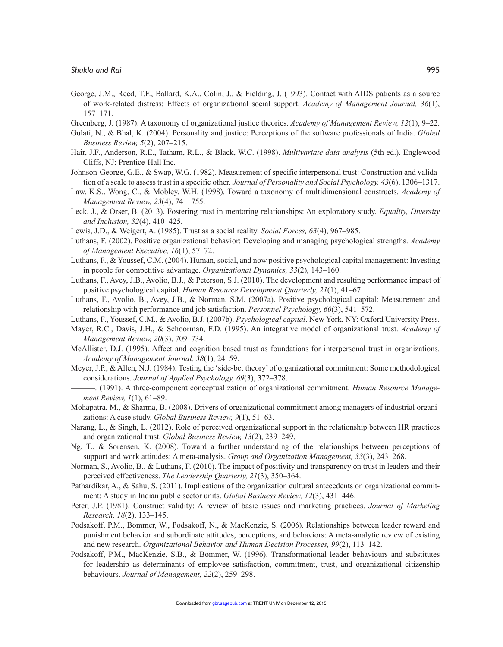- George, J.M., Reed, T.F., Ballard, K.A., Colin, J., & Fielding, J. (1993). Contact with AIDS patients as a source of work-related distress: Effects of organizational social support. *Academy of Management Journal, 36*(1), 157–171.
- Greenberg, J. (1987). A taxonomy of organizational justice theories. *Academy of Management Review, 12*(1), 9–22.
- Gulati, N., & Bhal, K. (2004). Personality and justice: Perceptions of the software professionals of India. *Global Business Review, 5*(2), 207–215.
- Hair, J.F., Anderson, R.E., Tatham, R.L., & Black, W.C. (1998). *Multivariate data analysis* (5th ed.). Englewood Cliffs, NJ: Prentice-Hall Inc.
- Johnson-George, G.E., & Swap, W.G. (1982). Measurement of specific interpersonal trust: Construction and validation of a scale to assess trust in a specific other*. Journal of Personality and Social Psychology, 43*(6), 1306–1317.
- Law, K.S., Wong, C., & Mobley, W.H. (1998). Toward a taxonomy of multidimensional constructs. *Academy of Management Review, 23*(4), 741–755.
- Leck, J., & Orser, B. (2013). Fostering trust in mentoring relationships: An exploratory study. *Equality, Diversity and Inclusion, 32*(4), 410–425.
- Lewis, J.D., & Weigert, A. (1985). Trust as a social reality. *Social Forces, 63*(4), 967–985.
- Luthans, F. (2002). Positive organizational behavior: Developing and managing psychological strengths. *Academy of Management Executive, 16*(1), 57–72.
- Luthans, F., & Youssef, C.M. (2004). Human, social, and now positive psychological capital management: Investing in people for competitive advantage. *Organizational Dynamics, 33*(2), 143–160.
- Luthans, F., Avey, J.B., Avolio, B.J., & Peterson, S.J. (2010). The development and resulting performance impact of positive psychological capital. *Human Resource Development Quarterly, 21*(1), 41–67.
- Luthans, F., Avolio, B., Avey, J.B., & Norman, S.M. (2007a). Positive psychological capital: Measurement and relationship with performance and job satisfaction. *Personnel Psychology, 60*(3), 541–572.
- Luthans, F., Youssef, C.M., & Avolio, B.J. (2007b). *Psychological capital*. New York, NY: Oxford University Press.
- Mayer, R.C., Davis, J.H., & Schoorman, F.D. (1995). An integrative model of organizational trust. *Academy of Management Review, 20*(3), 709–734.
- McAllister, D.J. (1995). Affect and cognition based trust as foundations for interpersonal trust in organizations. *Academy of Management Journal, 38*(1), 24–59.
- Meyer, J.P., & Allen, N.J. (1984). Testing the 'side-bet theory' of organizational commitment: Some methodological considerations. *Journal of Applied Psychology, 69*(3), 372–378.
- ———. (1991). A three-component conceptualization of organizational commitment. *Human Resource Management Review, 1*(1), 61–89.
- Mohapatra, M., & Sharma, B. (2008). Drivers of organizational commitment among managers of industrial organizations: A case study. *Global Business Review, 9*(1), 51–63.
- Narang, L., & Singh, L. (2012). Role of perceived organizational support in the relationship between HR practices and organizational trust. *Global Business Review, 13*(2), 239–249.
- Ng, T., & Sorensen, K. (2008). Toward a further understanding of the relationships between perceptions of support and work attitudes: A meta-analysis. *Group and Organization Management, 33*(3), 243–268.
- Norman, S., Avolio, B., & Luthans, F. (2010). The impact of positivity and transparency on trust in leaders and their perceived effectiveness. *The Leadership Quarterly, 21*(3), 350–364.
- Pathardikar, A., & Sahu, S. (2011). Implications of the organization cultural antecedents on organizational commitment: A study in Indian public sector units. *Global Business Review, 12*(3), 431–446.
- Peter, J.P. (1981). Construct validity: A review of basic issues and marketing practices. *Journal of Marketing Research, 18*(2), 133–145.
- Podsakoff, P.M., Bommer, W., Podsakoff, N., & MacKenzie, S. (2006). Relationships between leader reward and punishment behavior and subordinate attitudes, perceptions, and behaviors: A meta-analytic review of existing and new research. *Organizational Behavior and Human Decision Processes, 99*(2), 113–142.
- Podsakoff, P.M., MacKenzie, S.B., & Bommer, W. (1996). Transformational leader behaviours and substitutes for leadership as determinants of employee satisfaction, commitment, trust, and organizational citizenship behaviours. *Journal of Management, 22*(2), 259–298.